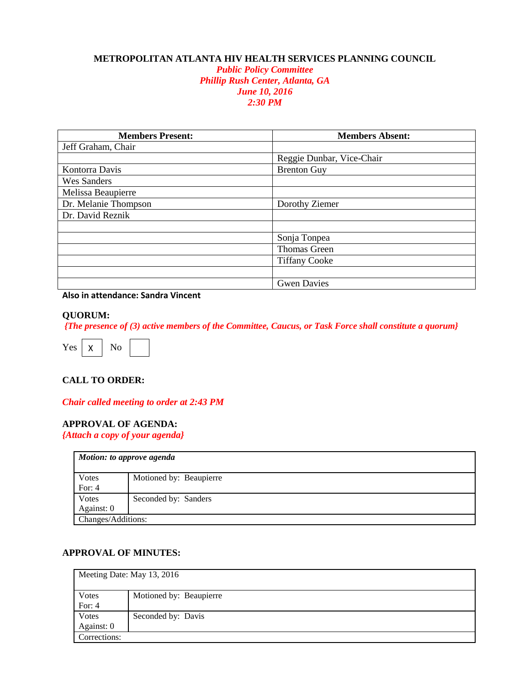## **METROPOLITAN ATLANTA HIV HEALTH SERVICES PLANNING COUNCIL**

*Public Policy Committee Phillip Rush Center, Atlanta, GA June 10, 2016 2:30 PM*

| <b>Members Present:</b> | <b>Members Absent:</b>    |
|-------------------------|---------------------------|
| Jeff Graham, Chair      |                           |
|                         | Reggie Dunbar, Vice-Chair |
| Kontorra Davis          | <b>Brenton Guy</b>        |
| <b>Wes Sanders</b>      |                           |
| Melissa Beaupierre      |                           |
| Dr. Melanie Thompson    | Dorothy Ziemer            |
| Dr. David Reznik        |                           |
|                         |                           |
|                         | Sonja Tonpea              |
|                         | <b>Thomas Green</b>       |
|                         | <b>Tiffany Cooke</b>      |
|                         |                           |
|                         | <b>Gwen Davies</b>        |

**Also in attendance: Sandra Vincent**

#### **QUORUM:**

*{The presence of (3) active members of the Committee, Caucus, or Task Force shall constitute a quorum}*



### **CALL TO ORDER:**

*Chair called meeting to order at 2:43 PM*

### **APPROVAL OF AGENDA:**

*{Attach a copy of your agenda}*

| Motion: to approve agenda |                         |
|---------------------------|-------------------------|
| <b>V</b> otes             | Motioned by: Beaupierre |
| For: $4$                  |                         |
| Votes                     | Seconded by: Sanders    |
| Against: 0                |                         |
| Changes/Additions:        |                         |

# **APPROVAL OF MINUTES:**

| Meeting Date: May 13, 2016 |                         |
|----------------------------|-------------------------|
| Votes                      | Motioned by: Beaupierre |
| For: $4$                   |                         |
| Votes                      | Seconded by: Davis      |
| Against: 0                 |                         |
| Corrections:               |                         |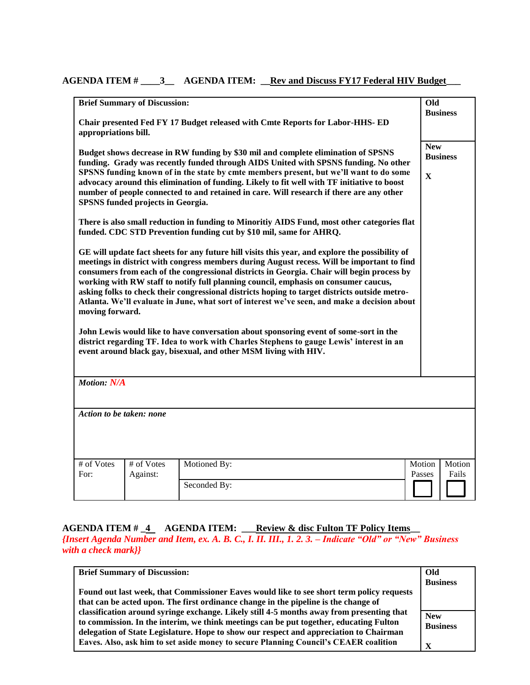# AGENDA ITEM # \_\_\_\_3\_\_ AGENDA ITEM: <u>Rev and Discuss FY17 Federal HIV Budget</u>

|                                                                                                       | <b>Brief Summary of Discussion:</b> |                                                                                                                                                                                                                                                                                                                                                                                                                                                                                                                                                                                                                                                                                                                                                                                                                                              | Old                       | <b>Business</b> |
|-------------------------------------------------------------------------------------------------------|-------------------------------------|----------------------------------------------------------------------------------------------------------------------------------------------------------------------------------------------------------------------------------------------------------------------------------------------------------------------------------------------------------------------------------------------------------------------------------------------------------------------------------------------------------------------------------------------------------------------------------------------------------------------------------------------------------------------------------------------------------------------------------------------------------------------------------------------------------------------------------------------|---------------------------|-----------------|
| Chair presented Fed FY 17 Budget released with Cmte Reports for Labor-HHS- ED<br>appropriations bill. |                                     |                                                                                                                                                                                                                                                                                                                                                                                                                                                                                                                                                                                                                                                                                                                                                                                                                                              |                           |                 |
|                                                                                                       | SPSNS funded projects in Georgia.   | Budget shows decrease in RW funding by \$30 mil and complete elimination of SPSNS<br>funding. Grady was recently funded through AIDS United with SPSNS funding. No other<br>SPSNS funding known of in the state by cmte members present, but we'll want to do some<br>advocacy around this elimination of funding. Likely to fit well with TF initiative to boost<br>number of people connected to and retained in care. Will research if there are any other                                                                                                                                                                                                                                                                                                                                                                                | <b>New</b><br>$\mathbf X$ | <b>Business</b> |
|                                                                                                       |                                     | There is also small reduction in funding to Minoritiy AIDS Fund, most other categories flat<br>funded. CDC STD Prevention funding cut by \$10 mil, same for AHRQ.                                                                                                                                                                                                                                                                                                                                                                                                                                                                                                                                                                                                                                                                            |                           |                 |
| moving forward.                                                                                       |                                     | GE will update fact sheets for any future hill visits this year, and explore the possibility of<br>meetings in district with congress members during August recess. Will be important to find<br>consumers from each of the congressional districts in Georgia. Chair will begin process by<br>working with RW staff to notify full planning council, emphasis on consumer caucus,<br>asking folks to check their congressional districts hoping to target districts outside metro-<br>Atlanta. We'll evaluate in June, what sort of interest we've seen, and make a decision about<br>John Lewis would like to have conversation about sponsoring event of some-sort in the<br>district regarding TF. Idea to work with Charles Stephens to gauge Lewis' interest in an<br>event around black gay, bisexual, and other MSM living with HIV. |                           |                 |
| <b>Motion: N/A</b>                                                                                    |                                     |                                                                                                                                                                                                                                                                                                                                                                                                                                                                                                                                                                                                                                                                                                                                                                                                                                              |                           |                 |
| Action to be taken: none                                                                              |                                     |                                                                                                                                                                                                                                                                                                                                                                                                                                                                                                                                                                                                                                                                                                                                                                                                                                              |                           |                 |
| # of Votes<br>For:                                                                                    | # of Votes<br>Against:              | Motioned By:                                                                                                                                                                                                                                                                                                                                                                                                                                                                                                                                                                                                                                                                                                                                                                                                                                 | Motion<br>Passes          | Motion<br>Fails |
|                                                                                                       |                                     | Seconded By:                                                                                                                                                                                                                                                                                                                                                                                                                                                                                                                                                                                                                                                                                                                                                                                                                                 |                           |                 |

# **AGENDA ITEM # \_4 AGENDA ITEM: \_\_\_Review & disc Fulton TF Policy Items\_\_** *{Insert Agenda Number and Item, ex. A. B. C., I. II. III., 1. 2. 3. – Indicate "Old" or "New" Business with a check mark}}*

| <b>Brief Summary of Discussion:</b>                                                       | Old             |
|-------------------------------------------------------------------------------------------|-----------------|
|                                                                                           | <b>Business</b> |
| Found out last week, that Commissioner Eaves would like to see short term policy requests |                 |
| that can be acted upon. The first ordinance change in the pipeline is the change of       |                 |
| classification around syringe exchange. Likely still 4-5 months away from presenting that | <b>New</b>      |
| to commission. In the interim, we think meetings can be put together, educating Fulton    | <b>Business</b> |
| delegation of State Legislature. Hope to show our respect and appreciation to Chairman    |                 |
| Eaves. Also, ask him to set aside money to secure Planning Council's CEAER coalition      | $\mathbf X$     |